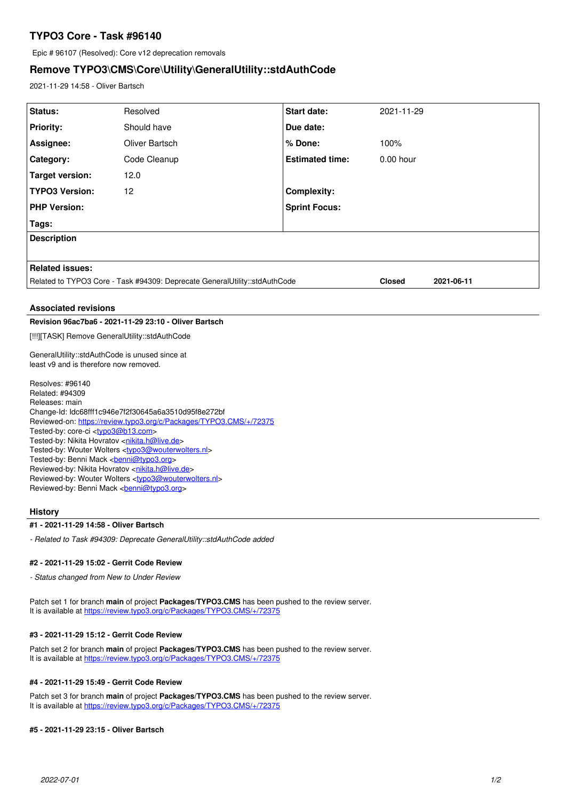# **TYPO3 Core - Task #96140**

Epic # 96107 (Resolved): Core v12 deprecation removals

# **Remove TYPO3\CMS\Core\Utility\GeneralUtility::stdAuthCode**

2021-11-29 14:58 - Oliver Bartsch

| Status:                                                                                  | Resolved                                                                    | <b>Start date:</b>     | 2021-11-29    |            |
|------------------------------------------------------------------------------------------|-----------------------------------------------------------------------------|------------------------|---------------|------------|
| <b>Priority:</b>                                                                         | Should have                                                                 | Due date:              |               |            |
| Assignee:                                                                                | Oliver Bartsch                                                              | % Done:                | 100%          |            |
| Category:                                                                                | Code Cleanup                                                                | <b>Estimated time:</b> | $0.00$ hour   |            |
| Target version:                                                                          | 12.0                                                                        |                        |               |            |
| <b>TYPO3 Version:</b>                                                                    | 12                                                                          | <b>Complexity:</b>     |               |            |
| <b>PHP Version:</b>                                                                      |                                                                             | <b>Sprint Focus:</b>   |               |            |
| Tags:                                                                                    |                                                                             |                        |               |            |
| <b>Description</b>                                                                       |                                                                             |                        |               |            |
|                                                                                          |                                                                             |                        |               |            |
| <b>Related issues:</b>                                                                   |                                                                             |                        |               |            |
| Related to TYPO3 Core - Task #94309: Deprecate GeneralUtility::stdAuthCode               |                                                                             |                        | <b>Closed</b> | 2021-06-11 |
|                                                                                          |                                                                             |                        |               |            |
|                                                                                          |                                                                             |                        |               |            |
| <b>Associated revisions</b>                                                              |                                                                             |                        |               |            |
|                                                                                          | Revision 96ac7ba6 - 2021-11-29 23:10 - Oliver Bartsch                       |                        |               |            |
| [!!!][TASK] Remove GeneralUtility::stdAuthCode                                           |                                                                             |                        |               |            |
| GeneralUtility::stdAuthCode is unused since at<br>least v9 and is therefore now removed. |                                                                             |                        |               |            |
| Resolves: #96140                                                                         |                                                                             |                        |               |            |
| Related: #94309<br>Releases: main                                                        |                                                                             |                        |               |            |
|                                                                                          | Change-Id: Idc68fff1c946e7f2f30645a6a3510d95f8e272bf                        |                        |               |            |
|                                                                                          | Reviewed-on: https://review.typo3.org/c/Packages/TYPO3.CMS/+/72375          |                        |               |            |
| Tested-by: core-ci <typo3@b13.com></typo3@b13.com>                                       |                                                                             |                        |               |            |
| Tested-by: Nikita Hovratov <nikita.h@live.de></nikita.h@live.de>                         | Tested-by: Wouter Wolters <typo3@wouterwolters.nl></typo3@wouterwolters.nl> |                        |               |            |

Tested-by: Benni Mack <br />
conni@typo3.org>

Reviewed-by: Nikita Hovratov <[nikita.h@live.de>](mailto:nikita.h@live.de)

Reviewed-by: Wouter Wolters <[typo3@wouterwolters.nl](mailto:typo3@wouterwolters.nl)>

Reviewed-by: Benni Mack <br />
conni@typo3.org>

### **History**

## **#1 - 2021-11-29 14:58 - Oliver Bartsch**

*- Related to Task #94309: Deprecate GeneralUtility::stdAuthCode added*

#### **#2 - 2021-11-29 15:02 - Gerrit Code Review**

*- Status changed from New to Under Review*

Patch set 1 for branch **main** of project **Packages/TYPO3.CMS** has been pushed to the review server. It is available at <https://review.typo3.org/c/Packages/TYPO3.CMS/+/72375>

#### **#3 - 2021-11-29 15:12 - Gerrit Code Review**

Patch set 2 for branch **main** of project **Packages/TYPO3.CMS** has been pushed to the review server. It is available at <https://review.typo3.org/c/Packages/TYPO3.CMS/+/72375>

### **#4 - 2021-11-29 15:49 - Gerrit Code Review**

Patch set 3 for branch **main** of project **Packages/TYPO3.CMS** has been pushed to the review server. It is available at <https://review.typo3.org/c/Packages/TYPO3.CMS/+/72375>

#### **#5 - 2021-11-29 23:15 - Oliver Bartsch**